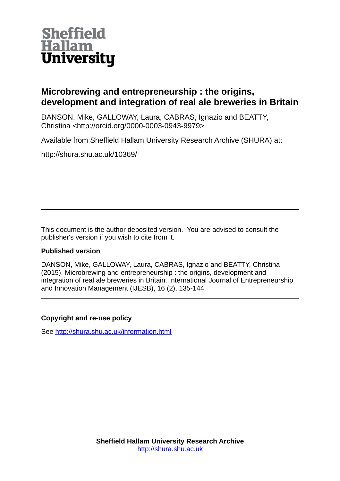

# **Microbrewing and entrepreneurship : the origins, development and integration of real ale breweries in Britain**

DANSON, Mike, GALLOWAY, Laura, CABRAS, Ignazio and BEATTY, Christina <http://orcid.org/0000-0003-0943-9979>

Available from Sheffield Hallam University Research Archive (SHURA) at:

http://shura.shu.ac.uk/10369/

This document is the author deposited version. You are advised to consult the publisher's version if you wish to cite from it.

## **Published version**

DANSON, Mike, GALLOWAY, Laura, CABRAS, Ignazio and BEATTY, Christina (2015). Microbrewing and entrepreneurship : the origins, development and integration of real ale breweries in Britain. International Journal of Entrepreneurship and Innovation Management (IJESB), 16 (2), 135-144.

## **Copyright and re-use policy**

See<http://shura.shu.ac.uk/information.html>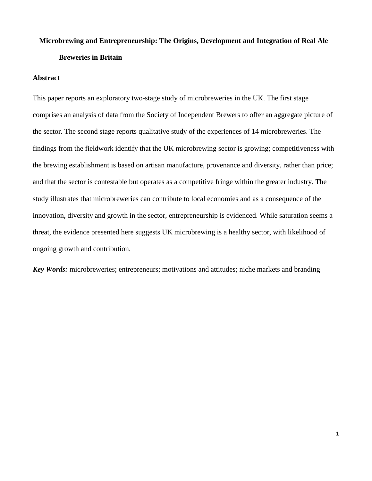# **Microbrewing and Entrepreneurship: The Origins, Development and Integration of Real Ale Breweries in Britain**

## **Abstract**

This paper reports an exploratory two-stage study of microbreweries in the UK. The first stage comprises an analysis of data from the Society of Independent Brewers to offer an aggregate picture of the sector. The second stage reports qualitative study of the experiences of 14 microbreweries. The findings from the fieldwork identify that the UK microbrewing sector is growing; competitiveness with the brewing establishment is based on artisan manufacture, provenance and diversity, rather than price; and that the sector is contestable but operates as a competitive fringe within the greater industry. The study illustrates that microbreweries can contribute to local economies and as a consequence of the innovation, diversity and growth in the sector, entrepreneurship is evidenced. While saturation seems a threat, the evidence presented here suggests UK microbrewing is a healthy sector, with likelihood of ongoing growth and contribution.

*Key Words:* microbreweries; entrepreneurs; motivations and attitudes; niche markets and branding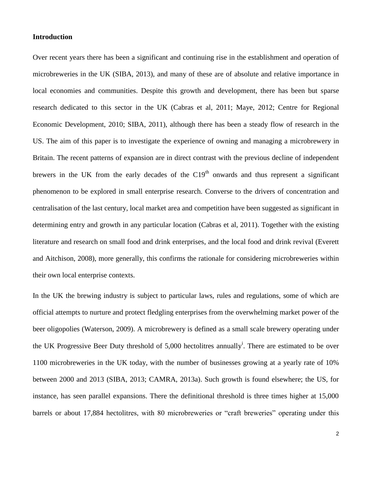## **Introduction**

Over recent years there has been a significant and continuing rise in the establishment and operation of microbreweries in the UK (SIBA, 2013), and many of these are of absolute and relative importance in local economies and communities. Despite this growth and development, there has been but sparse research dedicated to this sector in the UK (Cabras et al, 2011; Maye, 2012; Centre for Regional Economic Development, 2010; SIBA, 2011), although there has been a steady flow of research in the US. The aim of this paper is to investigate the experience of owning and managing a microbrewery in Britain. The recent patterns of expansion are in direct contrast with the previous decline of independent brewers in the UK from the early decades of the  $C19<sup>th</sup>$  onwards and thus represent a significant phenomenon to be explored in small enterprise research. Converse to the drivers of concentration and centralisation of the last century, local market area and competition have been suggested as significant in determining entry and growth in any particular location (Cabras et al, 2011). Together with the existing literature and research on small food and drink enterprises, and the local food and drink revival (Everett and Aitchison, 2008), more generally, this confirms the rationale for considering microbreweries within their own local enterprise contexts.

In the UK the brewing industry is subject to particular laws, rules and regulations, some of which are official attempts to nurture and protect fledgling enterprises from the overwhelming market power of the beer oligopolies (Waterson, 2009). A microbrewery is defined as a small scale brewery operating under the UK Progressive Beer Duty threshold of  $5,000$  hectolitres annually<sup>i</sup>. There are estimated to be over 1100 microbreweries in the UK today, with the number of businesses growing at a yearly rate of 10% between 2000 and 2013 (SIBA, 2013; CAMRA, 2013a). Such growth is found elsewhere; the US, for instance, has seen parallel expansions. There the definitional threshold is three times higher at 15,000 barrels or about 17,884 hectolitres, with 80 microbreweries or "craft breweries" operating under this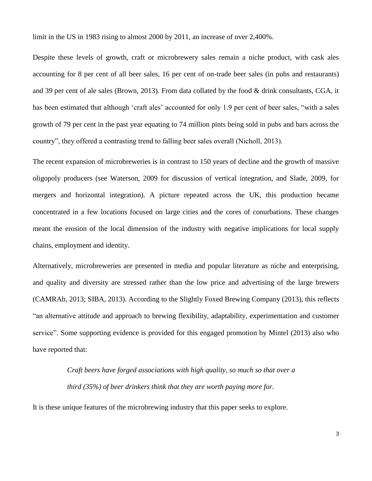limit in the US in 1983 rising to almost 2000 by 2011, an increase of over 2,400%.

Despite these levels of growth, craft or microbrewery sales remain a niche product, with cask ales accounting for 8 per cent of all beer sales, 16 per cent of on-trade beer sales (in pubs and restaurants) and 39 per cent of ale sales (Brown, 2013). From data collated by the food & drink consultants, CGA, it has been estimated that although 'craft ales' accounted for only 1.9 per cent of beer sales, "with a sales growth of 79 per cent in the past year equating to 74 million pints being sold in pubs and bars across the country", they offered a contrasting trend to falling beer sales overall (Nicholl, 2013).

The recent expansion of microbreweries is in contrast to 150 years of decline and the growth of massive oligopoly producers (see Waterson, 2009 for discussion of vertical integration, and Slade, 2009, for mergers and horizontal integration). A picture repeated across the UK, this production became concentrated in a few locations focused on large cities and the cores of conurbations. These changes meant the erosion of the local dimension of the industry with negative implications for local supply chains, employment and identity.

Alternatively, microbreweries are presented in media and popular literature as niche and enterprising, and quality and diversity are stressed rather than the low price and advertising of the large brewers (CAMRAb, 2013; SIBA, 2013). According to the Slightly Foxed Brewing Company (2013), this reflects "an alternative attitude and approach to brewing flexibility, adaptability, experimentation and customer service". Some supporting evidence is provided for this engaged promotion by Mintel (2013) also who have reported that:

> *Craft beers have forged associations with high quality, so much so that over a third (35%) of beer drinkers think that they are worth paying more for.*

It is these unique features of the microbrewing industry that this paper seeks to explore.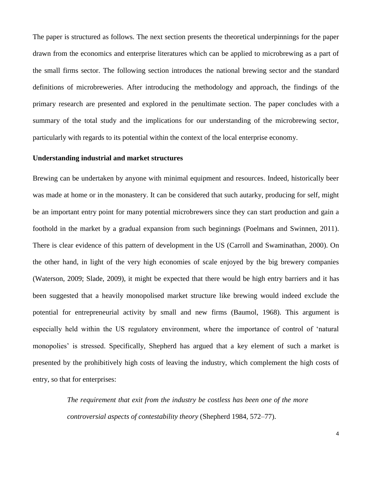The paper is structured as follows. The next section presents the theoretical underpinnings for the paper drawn from the economics and enterprise literatures which can be applied to microbrewing as a part of the small firms sector. The following section introduces the national brewing sector and the standard definitions of microbreweries. After introducing the methodology and approach, the findings of the primary research are presented and explored in the penultimate section. The paper concludes with a summary of the total study and the implications for our understanding of the microbrewing sector, particularly with regards to its potential within the context of the local enterprise economy.

## **Understanding industrial and market structures**

Brewing can be undertaken by anyone with minimal equipment and resources. Indeed, historically beer was made at home or in the monastery. It can be considered that such autarky, producing for self, might be an important entry point for many potential microbrewers since they can start production and gain a foothold in the market by a gradual expansion from such beginnings (Poelmans and Swinnen, 2011). There is clear evidence of this pattern of development in the US (Carroll and Swaminathan, 2000). On the other hand, in light of the very high economies of scale enjoyed by the big brewery companies (Waterson, 2009; Slade, 2009), it might be expected that there would be high entry barriers and it has been suggested that a heavily monopolised market structure like brewing would indeed exclude the potential for entrepreneurial activity by small and new firms (Baumol, 1968). This argument is especially held within the US regulatory environment, where the importance of control of 'natural monopolies' is stressed. Specifically, Shepherd has argued that a key element of such a market is presented by the prohibitively high costs of leaving the industry, which complement the high costs of entry, so that for enterprises:

> *The requirement that exit from the industry be costless has been one of the more controversial aspects of contestability theory* (Shepherd 1984, 572–77).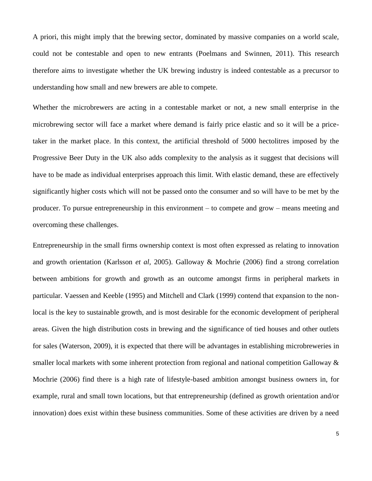A priori, this might imply that the brewing sector, dominated by massive companies on a world scale, could not be contestable and open to new entrants (Poelmans and Swinnen, 2011). This research therefore aims to investigate whether the UK brewing industry is indeed contestable as a precursor to understanding how small and new brewers are able to compete.

Whether the microbrewers are acting in a contestable market or not, a new small enterprise in the microbrewing sector will face a market where demand is fairly price elastic and so it will be a pricetaker in the market place. In this context, the artificial threshold of 5000 hectolitres imposed by the Progressive Beer Duty in the UK also adds complexity to the analysis as it suggest that decisions will have to be made as individual enterprises approach this limit. With elastic demand, these are effectively significantly higher costs which will not be passed onto the consumer and so will have to be met by the producer. To pursue entrepreneurship in this environment – to compete and grow – means meeting and overcoming these challenges.

Entrepreneurship in the small firms ownership context is most often expressed as relating to innovation and growth orientation (Karlsson *et al,* 2005). Galloway & Mochrie (2006) find a strong correlation between ambitions for growth and growth as an outcome amongst firms in peripheral markets in particular. Vaessen and Keeble (1995) and Mitchell and Clark (1999) contend that expansion to the nonlocal is the key to sustainable growth, and is most desirable for the economic development of peripheral areas. Given the high distribution costs in brewing and the significance of tied houses and other outlets for sales (Waterson, 2009), it is expected that there will be advantages in establishing microbreweries in smaller local markets with some inherent protection from regional and national competition Galloway  $\&$ Mochrie (2006) find there is a high rate of lifestyle-based ambition amongst business owners in, for example, rural and small town locations, but that entrepreneurship (defined as growth orientation and/or innovation) does exist within these business communities. Some of these activities are driven by a need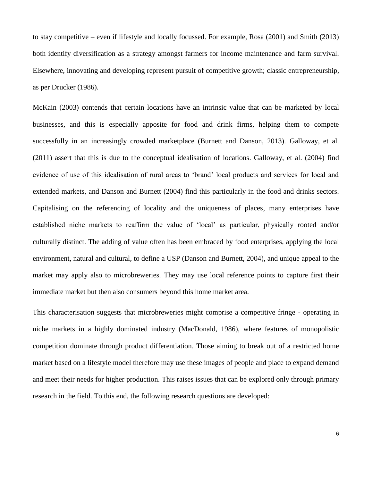to stay competitive – even if lifestyle and locally focussed. For example, Rosa (2001) and Smith (2013) both identify diversification as a strategy amongst farmers for income maintenance and farm survival. Elsewhere, innovating and developing represent pursuit of competitive growth; classic entrepreneurship, as per Drucker (1986).

McKain (2003) contends that certain locations have an intrinsic value that can be marketed by local businesses, and this is especially apposite for food and drink firms, helping them to compete successfully in an increasingly crowded marketplace (Burnett and Danson, 2013). Galloway, et al. (2011) assert that this is due to the conceptual idealisation of locations. Galloway, et al. (2004) find evidence of use of this idealisation of rural areas to 'brand' local products and services for local and extended markets, and Danson and Burnett (2004) find this particularly in the food and drinks sectors. Capitalising on the referencing of locality and the uniqueness of places, many enterprises have established niche markets to reaffirm the value of 'local' as particular, physically rooted and/or culturally distinct. The adding of value often has been embraced by food enterprises, applying the local environment, natural and cultural, to define a USP (Danson and Burnett, 2004), and unique appeal to the market may apply also to microbreweries. They may use local reference points to capture first their immediate market but then also consumers beyond this home market area.

This characterisation suggests that microbreweries might comprise a competitive fringe - operating in niche markets in a highly dominated industry (MacDonald, 1986), where features of monopolistic competition dominate through product differentiation. Those aiming to break out of a restricted home market based on a lifestyle model therefore may use these images of people and place to expand demand and meet their needs for higher production. This raises issues that can be explored only through primary research in the field. To this end, the following research questions are developed: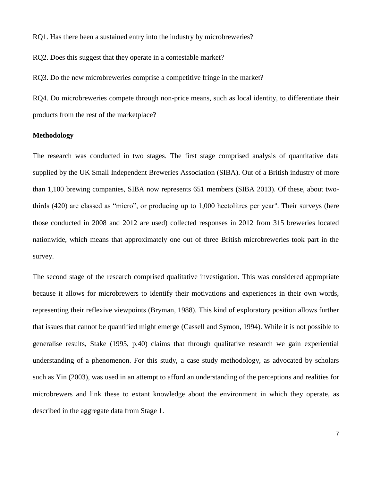RQ1. Has there been a sustained entry into the industry by microbreweries?

RQ2. Does this suggest that they operate in a contestable market?

RQ3. Do the new microbreweries comprise a competitive fringe in the market?

RQ4. Do microbreweries compete through non-price means, such as local identity, to differentiate their products from the rest of the marketplace?

#### **Methodology**

The research was conducted in two stages. The first stage comprised analysis of quantitative data supplied by the UK Small Independent Breweries Association (SIBA). Out of a British industry of more than 1,100 brewing companies, SIBA now represents 651 members (SIBA 2013). Of these, about twothirds  $(420)$  are classed as "micro", or producing up to 1,000 hectolitres per year<sup>ii</sup>. Their surveys (here those conducted in 2008 and 2012 are used) collected responses in 2012 from 315 breweries located nationwide, which means that approximately one out of three British microbreweries took part in the survey.

The second stage of the research comprised qualitative investigation. This was considered appropriate because it allows for microbrewers to identify their motivations and experiences in their own words, representing their reflexive viewpoints (Bryman, 1988). This kind of exploratory position allows further that issues that cannot be quantified might emerge (Cassell and Symon, 1994). While it is not possible to generalise results, Stake (1995, p.40) claims that through qualitative research we gain experiential understanding of a phenomenon. For this study, a case study methodology, as advocated by scholars such as Yin (2003), was used in an attempt to afford an understanding of the perceptions and realities for microbrewers and link these to extant knowledge about the environment in which they operate, as described in the aggregate data from Stage 1.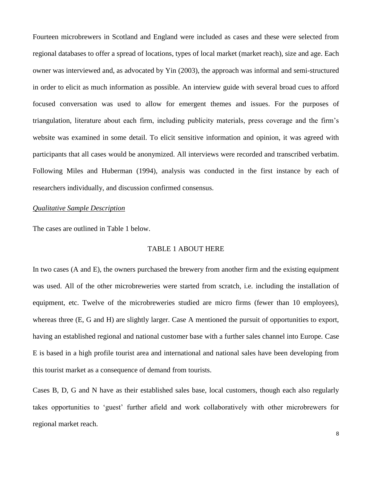Fourteen microbrewers in Scotland and England were included as cases and these were selected from regional databases to offer a spread of locations, types of local market (market reach), size and age. Each owner was interviewed and, as advocated by Yin (2003), the approach was informal and semi-structured in order to elicit as much information as possible. An interview guide with several broad cues to afford focused conversation was used to allow for emergent themes and issues. For the purposes of triangulation, literature about each firm, including publicity materials, press coverage and the firm's website was examined in some detail. To elicit sensitive information and opinion, it was agreed with participants that all cases would be anonymized. All interviews were recorded and transcribed verbatim. Following Miles and Huberman (1994), analysis was conducted in the first instance by each of researchers individually, and discussion confirmed consensus.

## *Qualitative Sample Description*

The cases are outlined in Table 1 below.

#### TABLE 1 ABOUT HERE

In two cases (A and E), the owners purchased the brewery from another firm and the existing equipment was used. All of the other microbreweries were started from scratch, i.e. including the installation of equipment, etc. Twelve of the microbreweries studied are micro firms (fewer than 10 employees), whereas three (E, G and H) are slightly larger. Case A mentioned the pursuit of opportunities to export, having an established regional and national customer base with a further sales channel into Europe. Case E is based in a high profile tourist area and international and national sales have been developing from this tourist market as a consequence of demand from tourists.

Cases B, D, G and N have as their established sales base, local customers, though each also regularly takes opportunities to 'guest' further afield and work collaboratively with other microbrewers for regional market reach.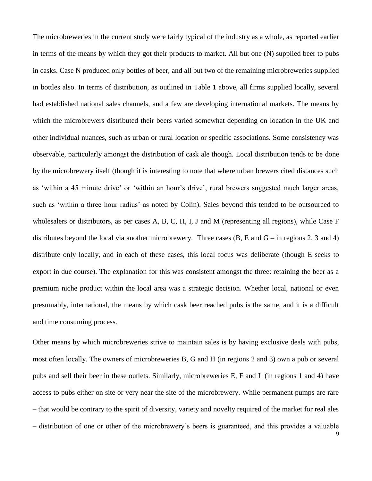The microbreweries in the current study were fairly typical of the industry as a whole, as reported earlier in terms of the means by which they got their products to market. All but one (N) supplied beer to pubs in casks. Case N produced only bottles of beer, and all but two of the remaining microbreweries supplied in bottles also. In terms of distribution, as outlined in Table 1 above, all firms supplied locally, several had established national sales channels, and a few are developing international markets. The means by which the microbrewers distributed their beers varied somewhat depending on location in the UK and other individual nuances, such as urban or rural location or specific associations. Some consistency was observable, particularly amongst the distribution of cask ale though. Local distribution tends to be done by the microbrewery itself (though it is interesting to note that where urban brewers cited distances such as 'within a 45 minute drive' or 'within an hour's drive', rural brewers suggested much larger areas, such as 'within a three hour radius' as noted by Colin). Sales beyond this tended to be outsourced to wholesalers or distributors, as per cases A, B, C, H, I, J and M (representing all regions), while Case F distributes beyond the local via another microbrewery. Three cases  $(B, E \text{ and } G - \text{in regions } 2, 3 \text{ and } 4)$ distribute only locally, and in each of these cases, this local focus was deliberate (though E seeks to export in due course). The explanation for this was consistent amongst the three: retaining the beer as a premium niche product within the local area was a strategic decision. Whether local, national or even presumably, international, the means by which cask beer reached pubs is the same, and it is a difficult and time consuming process.

Other means by which microbreweries strive to maintain sales is by having exclusive deals with pubs, most often locally. The owners of microbreweries B, G and H (in regions 2 and 3) own a pub or several pubs and sell their beer in these outlets. Similarly, microbreweries E, F and L (in regions 1 and 4) have access to pubs either on site or very near the site of the microbrewery. While permanent pumps are rare – that would be contrary to the spirit of diversity, variety and novelty required of the market for real ales – distribution of one or other of the microbrewery's beers is guaranteed, and this provides a valuable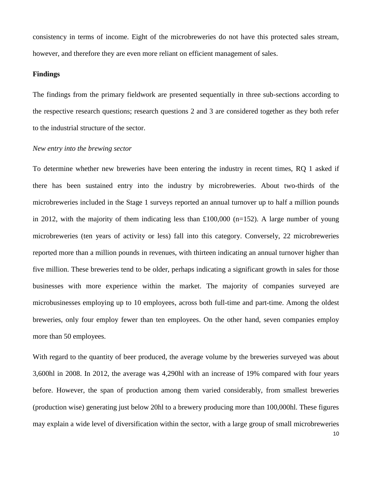consistency in terms of income. Eight of the microbreweries do not have this protected sales stream, however, and therefore they are even more reliant on efficient management of sales.

## **Findings**

The findings from the primary fieldwork are presented sequentially in three sub-sections according to the respective research questions; research questions 2 and 3 are considered together as they both refer to the industrial structure of the sector.

## *New entry into the brewing sector*

To determine whether new breweries have been entering the industry in recent times, RQ 1 asked if there has been sustained entry into the industry by microbreweries. About two-thirds of the microbreweries included in the Stage 1 surveys reported an annual turnover up to half a million pounds in 2012, with the majority of them indicating less than £100,000 (n=152). A large number of young microbreweries (ten years of activity or less) fall into this category. Conversely, 22 microbreweries reported more than a million pounds in revenues, with thirteen indicating an annual turnover higher than five million. These breweries tend to be older, perhaps indicating a significant growth in sales for those businesses with more experience within the market. The majority of companies surveyed are microbusinesses employing up to 10 employees, across both full-time and part-time. Among the oldest breweries, only four employ fewer than ten employees. On the other hand, seven companies employ more than 50 employees.

With regard to the quantity of beer produced, the average volume by the breweries surveyed was about 3,600hl in 2008. In 2012, the average was 4,290hl with an increase of 19% compared with four years before. However, the span of production among them varied considerably, from smallest breweries (production wise) generating just below 20hl to a brewery producing more than 100,000hl. These figures may explain a wide level of diversification within the sector, with a large group of small microbreweries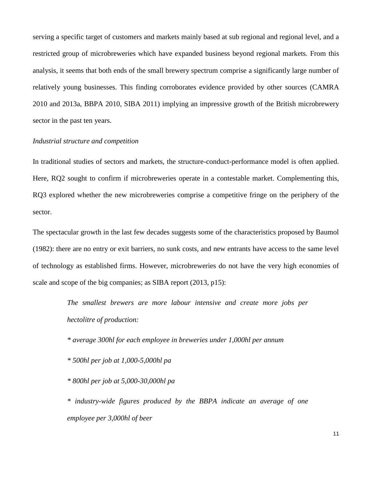serving a specific target of customers and markets mainly based at sub regional and regional level, and a restricted group of microbreweries which have expanded business beyond regional markets. From this analysis, it seems that both ends of the small brewery spectrum comprise a significantly large number of relatively young businesses. This finding corroborates evidence provided by other sources (CAMRA 2010 and 2013a, BBPA 2010, SIBA 2011) implying an impressive growth of the British microbrewery sector in the past ten years.

## *Industrial structure and competition*

In traditional studies of sectors and markets, the structure-conduct-performance model is often applied. Here, RQ2 sought to confirm if microbreweries operate in a contestable market. Complementing this, RQ3 explored whether the new microbreweries comprise a competitive fringe on the periphery of the sector.

The spectacular growth in the last few decades suggests some of the characteristics proposed by Baumol (1982): there are no entry or exit barriers, no sunk costs, and new entrants have access to the same level of technology as established firms. However, microbreweries do not have the very high economies of scale and scope of the big companies; as SIBA report (2013, p15):

> *The smallest brewers are more labour intensive and create more jobs per hectolitre of production:*

*\* average 300hl for each employee in breweries under 1,000hl per annum*

*\* 500hl per job at 1,000-5,000hl pa* 

*\* 800hl per job at 5,000-30,000hl pa*

*\* industry-wide figures produced by the BBPA indicate an average of one employee per 3,000hl of beer*

11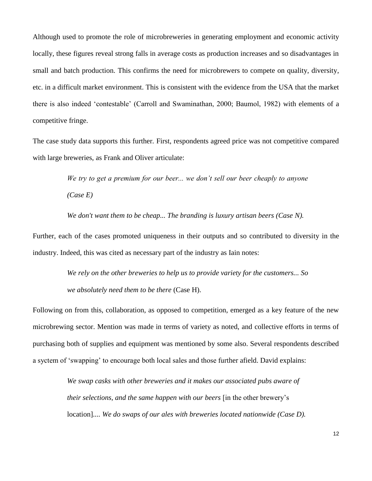Although used to promote the role of microbreweries in generating employment and economic activity locally, these figures reveal strong falls in average costs as production increases and so disadvantages in small and batch production. This confirms the need for microbrewers to compete on quality, diversity, etc. in a difficult market environment. This is consistent with the evidence from the USA that the market there is also indeed 'contestable' (Carroll and Swaminathan, 2000; Baumol, 1982) with elements of a competitive fringe.

The case study data supports this further. First, respondents agreed price was not competitive compared with large breweries, as Frank and Oliver articulate:

> *We try to get a premium for our beer... we don't sell our beer cheaply to anyone (Case E)*

*We don't want them to be cheap... The branding is luxury artisan beers (Case N).*

Further, each of the cases promoted uniqueness in their outputs and so contributed to diversity in the industry. Indeed, this was cited as necessary part of the industry as Iain notes:

> *We rely on the other breweries to help us to provide variety for the customers... So we absolutely need them to be there* (Case H).

Following on from this, collaboration, as opposed to competition, emerged as a key feature of the new microbrewing sector. Mention was made in terms of variety as noted, and collective efforts in terms of purchasing both of supplies and equipment was mentioned by some also. Several respondents described a syctem of 'swapping' to encourage both local sales and those further afield. David explains:

> *We swap casks with other breweries and it makes our associated pubs aware of their selections, and the same happen with our beers* [in the other brewery's location]*.... We do swaps of our ales with breweries located nationwide (Case D).*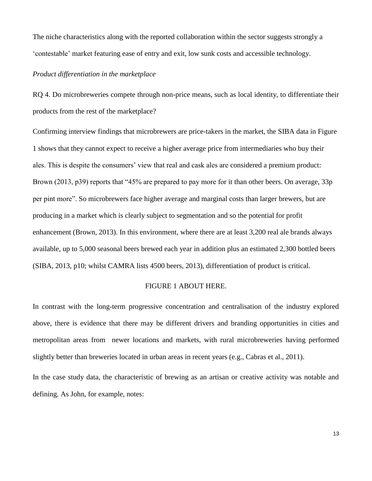The niche characteristics along with the reported collaboration within the sector suggests strongly a 'contestable' market featuring ease of entry and exit, low sunk costs and accessible technology.

## *Product differentiation in the marketplace*

RQ 4. Do microbreweries compete through non-price means, such as local identity, to differentiate their products from the rest of the marketplace?

Confirming interview findings that microbrewers are price-takers in the market, the SIBA data in Figure 1 shows that they cannot expect to receive a higher average price from intermediaries who buy their ales. This is despite the consumers' view that real and cask ales are considered a premium product: Brown (2013, p39) reports that "45% are prepared to pay more for it than other beers. On average, 33p per pint more". So microbrewers face higher average and marginal costs than larger brewers, but are producing in a market which is clearly subject to segmentation and so the potential for profit enhancement (Brown, 2013). In this environment, where there are at least 3,200 real ale brands always available, up to 5,000 seasonal beers brewed each year in addition plus an estimated 2,300 bottled beers (SIBA, 2013, p10; whilst CAMRA lists 4500 beers, 2013), differentiation of product is critical.

#### FIGURE 1 ABOUT HERE.

In contrast with the long-term progressive concentration and centralisation of the industry explored above, there is evidence that there may be different drivers and branding opportunities in cities and metropolitan areas from newer locations and markets, with rural microbreweries having performed slightly better than breweries located in urban areas in recent years (e.g., Cabras et al., 2011).

In the case study data, the characteristic of brewing as an artisan or creative activity was notable and defining. As John, for example, notes: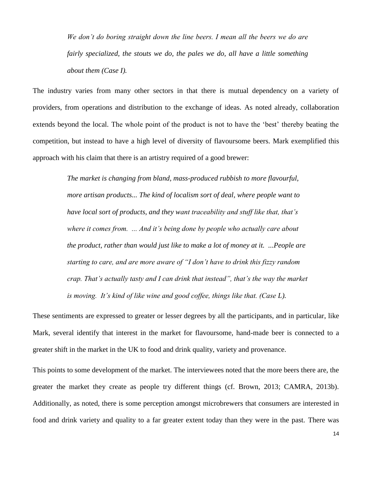*We don't do boring straight down the line beers. I mean all the beers we do are fairly specialized, the stouts we do, the pales we do, all have a little something about them (Case I).*

The industry varies from many other sectors in that there is mutual dependency on a variety of providers, from operations and distribution to the exchange of ideas. As noted already, collaboration extends beyond the local. The whole point of the product is not to have the 'best' thereby beating the competition, but instead to have a high level of diversity of flavoursome beers. Mark exemplified this approach with his claim that there is an artistry required of a good brewer:

> *The market is changing from bland, mass-produced rubbish to more flavourful, more artisan products... The kind of localism sort of deal, where people want to have local sort of products, and they want traceability and stuff like that, that's where it comes from. ... And it's being done by people who actually care about the product, rather than would just like to make a lot of money at it. ...People are starting to care, and are more aware of "I don't have to drink this fizzy random crap. That's actually tasty and I can drink that instead", that's the way the market is moving. It's kind of like wine and good coffee, things like that. (Case L).*

These sentiments are expressed to greater or lesser degrees by all the participants, and in particular, like Mark, several identify that interest in the market for flavoursome, hand-made beer is connected to a greater shift in the market in the UK to food and drink quality, variety and provenance.

This points to some development of the market. The interviewees noted that the more beers there are, the greater the market they create as people try different things (cf. Brown, 2013; CAMRA, 2013b). Additionally, as noted, there is some perception amongst microbrewers that consumers are interested in food and drink variety and quality to a far greater extent today than they were in the past. There was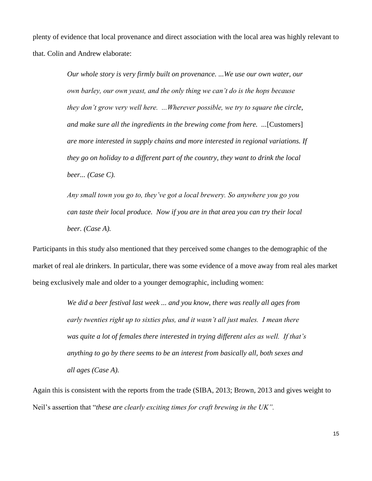plenty of evidence that local provenance and direct association with the local area was highly relevant to that. Colin and Andrew elaborate:

> *Our whole story is very firmly built on provenance. ...We use our own water, our own barley, our own yeast, and the only thing we can't do is the hops because they don't grow very well here. ...Wherever possible, we try to square the circle, and make sure all the ingredients in the brewing come from here. ...*[Customers] *are more interested in supply chains and more interested in regional variations. If they go on holiday to a different part of the country, they want to drink the local beer... (Case C).*

*Any small town you go to, they've got a local brewery. So anywhere you go you can taste their local produce. Now if you are in that area you can try their local beer. (Case A).*

Participants in this study also mentioned that they perceived some changes to the demographic of the market of real ale drinkers. In particular, there was some evidence of a move away from real ales market being exclusively male and older to a younger demographic, including women:

> *We did a beer festival last week ... and you know, there was really all ages from early twenties right up to sixties plus, and it wasn't all just males. I mean there was quite a lot of females there interested in trying different ales as well. If that's anything to go by there seems to be an interest from basically all, both sexes and all ages (Case A).*

Again this is consistent with the reports from the trade (SIBA, 2013; Brown, 2013 and gives weight to Neil's assertion that "*these are clearly exciting times for craft brewing in the UK".*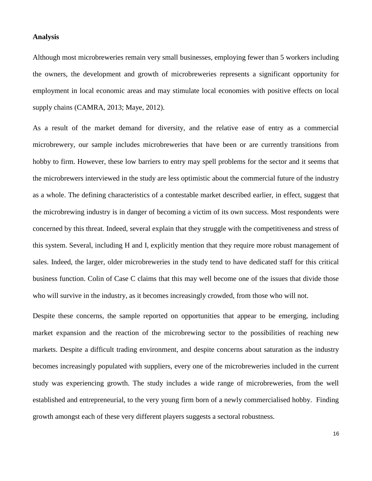#### **Analysis**

Although most microbreweries remain very small businesses, employing fewer than 5 workers including the owners, the development and growth of microbreweries represents a significant opportunity for employment in local economic areas and may stimulate local economies with positive effects on local supply chains (CAMRA, 2013; Maye, 2012).

As a result of the market demand for diversity, and the relative ease of entry as a commercial microbrewery, our sample includes microbreweries that have been or are currently transitions from hobby to firm. However, these low barriers to entry may spell problems for the sector and it seems that the microbrewers interviewed in the study are less optimistic about the commercial future of the industry as a whole. The defining characteristics of a contestable market described earlier, in effect, suggest that the microbrewing industry is in danger of becoming a victim of its own success. Most respondents were concerned by this threat. Indeed, several explain that they struggle with the competitiveness and stress of this system. Several, including H and I, explicitly mention that they require more robust management of sales. Indeed, the larger, older microbreweries in the study tend to have dedicated staff for this critical business function. Colin of Case C claims that this may well become one of the issues that divide those who will survive in the industry, as it becomes increasingly crowded, from those who will not.

Despite these concerns, the sample reported on opportunities that appear to be emerging, including market expansion and the reaction of the microbrewing sector to the possibilities of reaching new markets. Despite a difficult trading environment, and despite concerns about saturation as the industry becomes increasingly populated with suppliers, every one of the microbreweries included in the current study was experiencing growth. The study includes a wide range of microbreweries, from the well established and entrepreneurial, to the very young firm born of a newly commercialised hobby. Finding growth amongst each of these very different players suggests a sectoral robustness.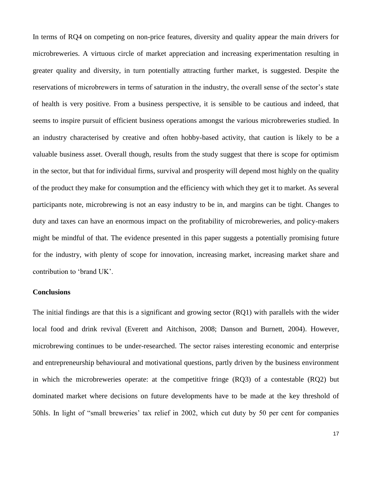In terms of RQ4 on competing on non-price features, diversity and quality appear the main drivers for microbreweries. A virtuous circle of market appreciation and increasing experimentation resulting in greater quality and diversity, in turn potentially attracting further market, is suggested. Despite the reservations of microbrewers in terms of saturation in the industry, the overall sense of the sector's state of health is very positive. From a business perspective, it is sensible to be cautious and indeed, that seems to inspire pursuit of efficient business operations amongst the various microbreweries studied. In an industry characterised by creative and often hobby-based activity, that caution is likely to be a valuable business asset. Overall though, results from the study suggest that there is scope for optimism in the sector, but that for individual firms, survival and prosperity will depend most highly on the quality of the product they make for consumption and the efficiency with which they get it to market. As several participants note, microbrewing is not an easy industry to be in, and margins can be tight. Changes to duty and taxes can have an enormous impact on the profitability of microbreweries, and policy-makers might be mindful of that. The evidence presented in this paper suggests a potentially promising future for the industry, with plenty of scope for innovation, increasing market, increasing market share and contribution to 'brand UK'.

## **Conclusions**

The initial findings are that this is a significant and growing sector (RQ1) with parallels with the wider local food and drink revival (Everett and Aitchison, 2008; Danson and Burnett, 2004). However, microbrewing continues to be under-researched. The sector raises interesting economic and enterprise and entrepreneurship behavioural and motivational questions, partly driven by the business environment in which the microbreweries operate: at the competitive fringe (RQ3) of a contestable (RQ2) but dominated market where decisions on future developments have to be made at the key threshold of 50hls. In light of "small breweries' tax relief in 2002, which cut duty by 50 per cent for companies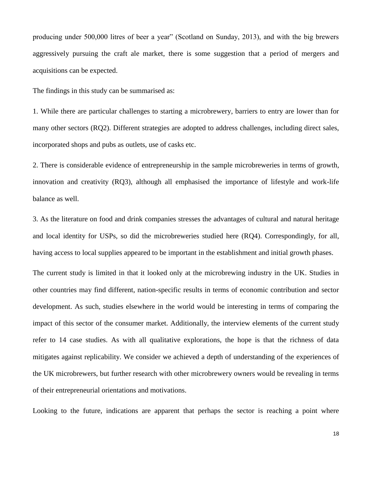producing under 500,000 litres of beer a year" (Scotland on Sunday, 2013), and with the big brewers aggressively pursuing the craft ale market, there is some suggestion that a period of mergers and acquisitions can be expected.

The findings in this study can be summarised as:

1. While there are particular challenges to starting a microbrewery, barriers to entry are lower than for many other sectors (RQ2). Different strategies are adopted to address challenges, including direct sales, incorporated shops and pubs as outlets, use of casks etc.

2. There is considerable evidence of entrepreneurship in the sample microbreweries in terms of growth, innovation and creativity (RQ3), although all emphasised the importance of lifestyle and work-life balance as well.

3. As the literature on food and drink companies stresses the advantages of cultural and natural heritage and local identity for USPs, so did the microbreweries studied here (RQ4). Correspondingly, for all, having access to local supplies appeared to be important in the establishment and initial growth phases.

The current study is limited in that it looked only at the microbrewing industry in the UK. Studies in other countries may find different, nation-specific results in terms of economic contribution and sector development. As such, studies elsewhere in the world would be interesting in terms of comparing the impact of this sector of the consumer market. Additionally, the interview elements of the current study refer to 14 case studies. As with all qualitative explorations, the hope is that the richness of data mitigates against replicability. We consider we achieved a depth of understanding of the experiences of the UK microbrewers, but further research with other microbrewery owners would be revealing in terms of their entrepreneurial orientations and motivations.

Looking to the future, indications are apparent that perhaps the sector is reaching a point where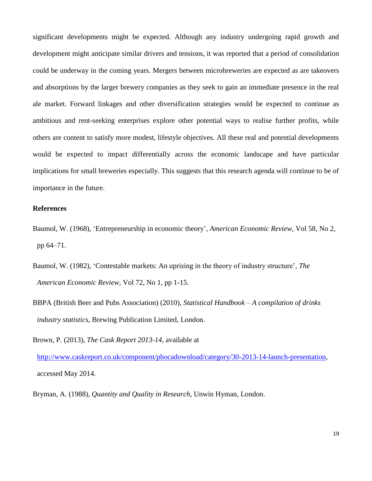significant developments might be expected. Although any industry undergoing rapid growth and development might anticipate similar drivers and tensions, it was reported that a period of consolidation could be underway in the coming years. Mergers between microbreweries are expected as are takeovers and absorptions by the larger brewery companies as they seek to gain an immediate presence in the real ale market. Forward linkages and other diversification strategies would be expected to continue as ambitious and rent-seeking enterprises explore other potential ways to realise further profits, while others are content to satisfy more modest, lifestyle objectives. All these real and potential developments would be expected to impact differentially across the economic landscape and have particular implications for small breweries especially. This suggests that this research agenda will continue to be of importance in the future.

## **References**

- Baumol, W. (1968), 'Entrepreneurship in economic theory', *American Economic Review*, Vol 58, No 2, pp 64–71.
- Baumol, W. (1982), 'Contestable markets: An uprising in the theory of industry structure', *The American Economic Review*, Vol 72, No 1, pp 1-15.
- BBPA (British Beer and Pubs Association) (2010), *Statistical Handbook – A compilation of drinks industry statistics*, Brewing Publication Limited, London.

Brown, P. (2013), *The Cask Report 2013-14*, available at

[http://www.caskreport.co.uk/component/phocadownload/category/30-2013-14-launch-presentation,](http://www.caskreport.co.uk/component/phocadownload/category/30-2013-14-launch-presentation) accessed May 2014.

Bryman, A. (1988), *Quantity and Quality in Research,* Unwin Hyman, London.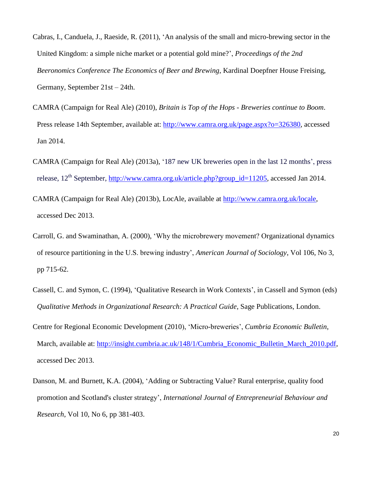- Cabras, I., Canduela, J., Raeside, R. (2011), 'An analysis of the small and micro-brewing sector in the United Kingdom: a simple niche market or a potential gold mine?', *Proceedings of the 2nd Beeronomics Conference The Economics of Beer and Brewing*, Kardinal Doepfner House Freising, Germany, September 21st – 24th.
- CAMRA (Campaign for Real Ale) (2010), *Britain is Top of the Hops - Breweries continue to Boom*. Press release 14th September, available at: [http://www.camra.org.uk/page.aspx?o=326380,](http://www.camra.org.uk/page.aspx?o=326380) accessed Jan 2014.
- CAMRA (Campaign for Real Ale) (2013a), '187 new UK breweries open in the last 12 months', press release, 12<sup>th</sup> September, [http://www.camra.org.uk/article.php?group\\_id=11205,](http://www.camra.org.uk/article.php?group_id=11205) accessed Jan 2014.
- CAMRA (Campaign for Real Ale) (2013b), LocAle, available at [http://www.camra.org.uk/locale,](http://www.camra.org.uk/locale) accessed Dec 2013.
- Carroll, G. and Swaminathan, A. (2000), 'Why the microbrewery movement? Organizational dynamics of resource partitioning in the U.S. brewing industry', *American Journal of Sociology*, Vol 106, No 3, pp 715-62.
- Cassell, C. and Symon, C. (1994), 'Qualitative Research in Work Contexts', in Cassell and Symon (eds) *Qualitative Methods in Organizational Research: A Practical Guide*, Sage Publications, London.
- Centre for Regional Economic Development (2010), 'Micro-breweries', *Cumbria Economic Bulletin*, March, available at: [http://insight.cumbria.ac.uk/148/1/Cumbria\\_Economic\\_Bulletin\\_March\\_2010.pdf,](http://insight.cumbria.ac.uk/148/1/Cumbria_Economic_Bulletin_March_2010.pdf) accessed Dec 2013.
- Danson, M. and Burnett, K.A. (2004), 'Adding or Subtracting Value? Rural enterprise, quality food promotion and Scotland's cluster strategy', *International Journal of Entrepreneurial Behaviour and Research*, Vol 10, No 6, pp 381-403.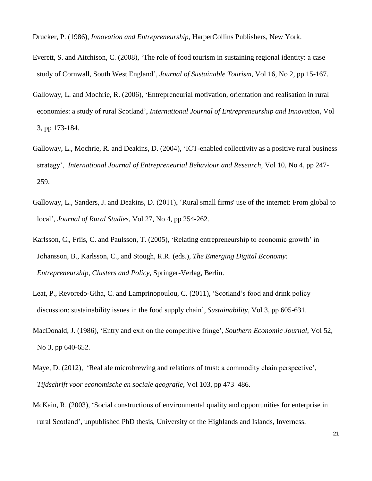Drucker, P. (1986), *Innovation and Entrepreneurship,* HarperCollins Publishers, New York.

- Everett, S. and Aitchison, C. (2008), 'The role of food tourism in sustaining regional identity: a case study of Cornwall, South West England', *Journal of Sustainable Tourism*, Vol [16,](http://www.tandfonline.com/loi/rsus20?open=16#vol_16) No 2, pp 15-167.
- Galloway, L. and Mochrie, R. (2006), 'Entrepreneurial motivation, orientation and realisation in rural economies: a study of rural Scotland', *International Journal of Entrepreneurship and Innovation,* Vol 3, pp 173-184.
- Galloway, L., Mochrie, R. and Deakins, D. (2004), 'ICT-enabled collectivity as a positive rural business strategy', *International Journal of Entrepreneurial Behaviour and Research*, Vol 10, No 4, pp 247- 259.
- Galloway, L., Sanders, J. and Deakins, D. (2011), 'Rural small firms' use of the internet: From global to local', *Journal of Rural Studies*, Vol 27, No 4, pp 254-262.
- Karlsson, C., Friis, C. and Paulsson, T. (2005), 'Relating entrepreneurship to economic growth' in Johansson, B., Karlsson, C., and Stough, R.R. (eds.), *The Emerging Digital Economy: Entrepreneurship, Clusters and Policy*, Springer-Verlag, Berlin.
- Leat, P., Revoredo-Giha, C. and Lamprinopoulou, C. (2011), 'Scotland's food and drink policy discussion: sustainability issues in the food supply chain', *Sustainability*, Vol 3, pp 605-631.
- MacDonald, J. (1986), 'Entry and exit on the competitive fringe', *Southern Economic Journal*, Vol 52, No 3, pp 640-652.
- Maye, D. (2012), 'Real ale microbrewing and relations of trust: a commodity chain perspective', *Tijdschrift voor economische en sociale geografie*, Vol 103, pp 473–486.
- McKain, R. (2003), 'Social constructions of environmental quality and opportunities for enterprise in rural Scotland', unpublished PhD thesis, University of the Highlands and Islands, Inverness.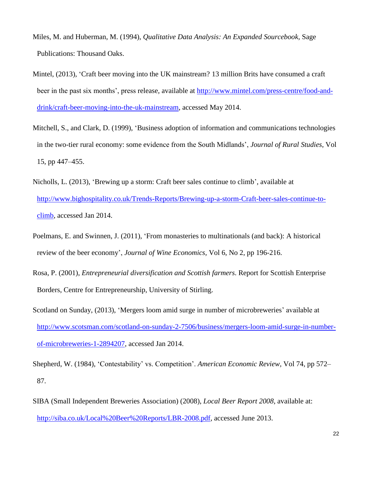- Miles, M. and Huberman, M. (1994), *Qualitative Data Analysis: An Expanded Sourcebook,* Sage Publications: Thousand Oaks.
- Mintel, (2013), 'Craft beer moving into the UK mainstream? 13 million Brits have consumed a craft beer in the past six months', press release, available at [http://www.mintel.com/press-centre/food-and](http://www.mintel.com/press-centre/food-and-drink/craft-beer-moving-into-the-uk-mainstream)[drink/craft-beer-moving-into-the-uk-mainstream,](http://www.mintel.com/press-centre/food-and-drink/craft-beer-moving-into-the-uk-mainstream) accessed May 2014.
- Mitchell, S., and Clark, D. (1999), 'Business adoption of information and communications technologies in the two-tier rural economy: some evidence from the South Midlands', *Journal of Rural Studies*, Vol 15, pp 447–455.
- Nicholls, L. (2013), ['Brewing up a storm: Craft beer sales continue to climb'](http://www.bighospitality.co.uk/Trends-Reports/Brewing-up-a-storm-Craft-beer-sales-continue-to-climb?utm_source=copyright&utm_medium=OnSite&utm_campaign=copyright), available at [http://www.bighospitality.co.uk/Trends-Reports/Brewing-up-a-storm-Craft-beer-sales-continue-to](http://www.bighospitality.co.uk/Trends-Reports/Brewing-up-a-storm-Craft-beer-sales-continue-to-climb)[climb,](http://www.bighospitality.co.uk/Trends-Reports/Brewing-up-a-storm-Craft-beer-sales-continue-to-climb) accessed Jan 2014.
- Poelmans, E. and Swinnen, J. (2011), 'From monasteries to multinationals (and back): A historical review of the beer economy', *Journal of Wine Economics,* Vol 6, No 2, pp 196-216.
- Rosa, P. (2001), *Entrepreneurial diversification and Scottish farmers*. Report for Scottish Enterprise Borders, Centre for Entrepreneurship, University of Stirling.
- Scotland on Sunday, (2013), 'Mergers loom amid surge in number of microbreweries' available at [http://www.scotsman.com/scotland-on-sunday-2-7506/business/mergers-loom-amid-surge-in-number](http://www.scotsman.com/scotland-on-sunday-2-7506/business/mergers-loom-amid-surge-in-number-of-microbreweries-1-2894207)[of-microbreweries-1-2894207,](http://www.scotsman.com/scotland-on-sunday-2-7506/business/mergers-loom-amid-surge-in-number-of-microbreweries-1-2894207) accessed Jan 2014.
- Shepherd, W. (1984), 'Contestability' vs. Competition'. *American Economic Review,* Vol 74, pp 572– 87.
- SIBA (Small Independent Breweries Association) (2008), *Local Beer Report 2008*, available at: [http://siba.co.uk/Local%20Beer%20Reports/LBR-2008.pdf,](http://siba.co.uk/Local%20Beer%20Reports/LBR-2008.pdf) accessed June 2013.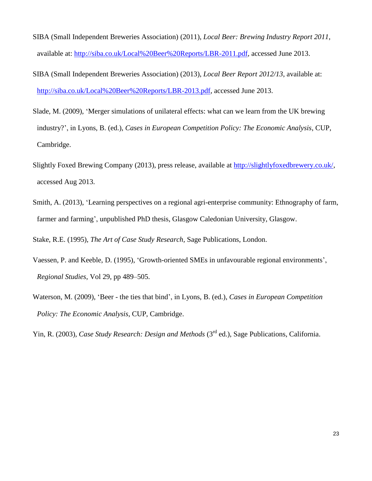- SIBA (Small Independent Breweries Association) (2011), *Local Beer: Brewing Industry Report 2011*, available at: [http://siba.co.uk/Local%20Beer%20Reports/LBR-2011.pdf,](http://siba.co.uk/Local%20Beer%20Reports/LBR-2011.pdf) accessed June 2013.
- SIBA (Small Independent Breweries Association) (2013), *Local Beer Report 2012/13*, available at: [http://siba.co.uk/Local%20Beer%20Reports/LBR-2013.pdf,](http://siba.co.uk/Local%20Beer%20Reports/LBR-2013.pdf) accessed June 2013.
- Slade, M. (2009), 'Merger simulations of unilateral effects: what can we learn from the UK brewing industry?', in Lyons, B. (ed.), *Cases in European Competition Policy: The Economic Analysis*, CUP, Cambridge.
- Slightly Foxed Brewing Company (2013), press release, available at [http://slightlyfoxedbrewery.co.uk/,](http://slightlyfoxedbrewery.co.uk/) accessed Aug 2013.
- Smith, A. (2013), 'Learning perspectives on a regional agri-enterprise community: Ethnography of farm, farmer and farming', unpublished PhD thesis, Glasgow Caledonian University, Glasgow.

Stake, R.E. (1995), *The Art of Case Study Research,* Sage Publications, London.

- Vaessen, P. and Keeble, D. (1995), 'Growth-oriented SMEs in unfavourable regional environments', *Regional Studies*, Vol 29, pp 489–505.
- Waterson, M. (2009), 'Beer the ties that bind', in Lyons, B. (ed.), *Cases in European Competition Policy: The Economic Analysis*, CUP, Cambridge.

Yin, R. (2003), *Case Study Research: Design and Methods* (3<sup>rd</sup> ed.), Sage Publications, California.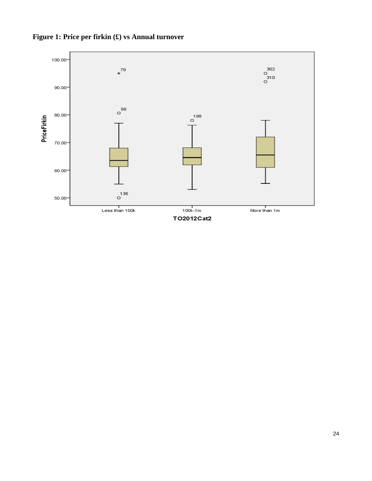

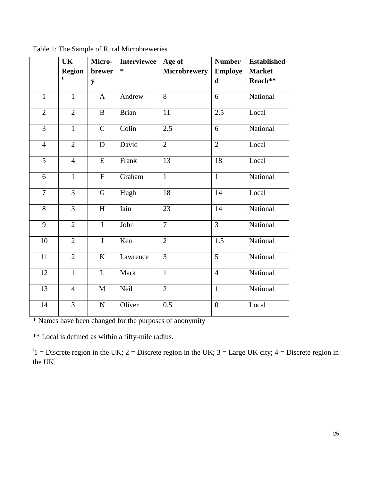|                | <b>UK</b>                    | Micro-       | <b>Interviewee</b> | Age of              | <b>Number</b>                 | <b>Established</b>       |
|----------------|------------------------------|--------------|--------------------|---------------------|-------------------------------|--------------------------|
|                | <b>Region</b><br>$\mathbf t$ | brewer<br>y  | $\ast$             | <b>Microbrewery</b> | <b>Employe</b><br>$\mathbf d$ | <b>Market</b><br>Reach** |
| $\mathbf{1}$   | $\mathbf{1}$                 | $\mathbf{A}$ | Andrew             | 8                   | 6                             | National                 |
| $\overline{2}$ | $\overline{2}$               | $\bf{B}$     | <b>Brian</b>       | 11                  | 2.5                           | Local                    |
| 3              | $\mathbf{1}$                 | $\mathbf C$  | Colin              | 2.5                 | 6                             | National                 |
| $\overline{4}$ | $\overline{2}$               | $\mathbf D$  | David              | $\overline{2}$      | $\overline{2}$                | Local                    |
| $\overline{5}$ | $\overline{4}$               | ${\bf E}$    | Frank              | 13                  | 18                            | Local                    |
| 6              | $\mathbf{1}$                 | ${\bf F}$    | Graham             | $\mathbf{1}$        | $\mathbf{1}$                  | National                 |
| $\overline{7}$ | $\overline{3}$               | $\mathbf G$  | Hugh               | 18                  | 14                            | Local                    |
| 8              | $\overline{3}$               | H            | Iain               | 23                  | 14                            | National                 |
| 9              | $\overline{2}$               | $\mathbf I$  | John               | $\overline{7}$      | $\overline{3}$                | National                 |
| 10             | $\overline{2}$               | $\mathbf{J}$ | Ken                | $\overline{2}$      | 1.5                           | National                 |
| 11             | $\overline{2}$               | K            | Lawrence           | $\overline{3}$      | $\overline{5}$                | National                 |
| 12             | $\mathbf{1}$                 | L            | Mark               | $\mathbf{1}$        | $\overline{4}$                | National                 |
| 13             | $\overline{4}$               | $\mathbf{M}$ | Neil               | $\overline{2}$      | $\mathbf{1}$                  | National                 |
| 14             | $\overline{3}$               | ${\bf N}$    | Oliver             | 0.5                 | $\boldsymbol{0}$              | Local                    |

Table 1: The Sample of Rural Microbreweries

\* Names have been changed for the purposes of anonymity

\*\* Local is defined as within a fifty-mile radius.

<sup>t</sup>1 = Discrete region in the UK; 2 = Discrete region in the UK; 3 = Large UK city; 4 = Discrete region in the UK.